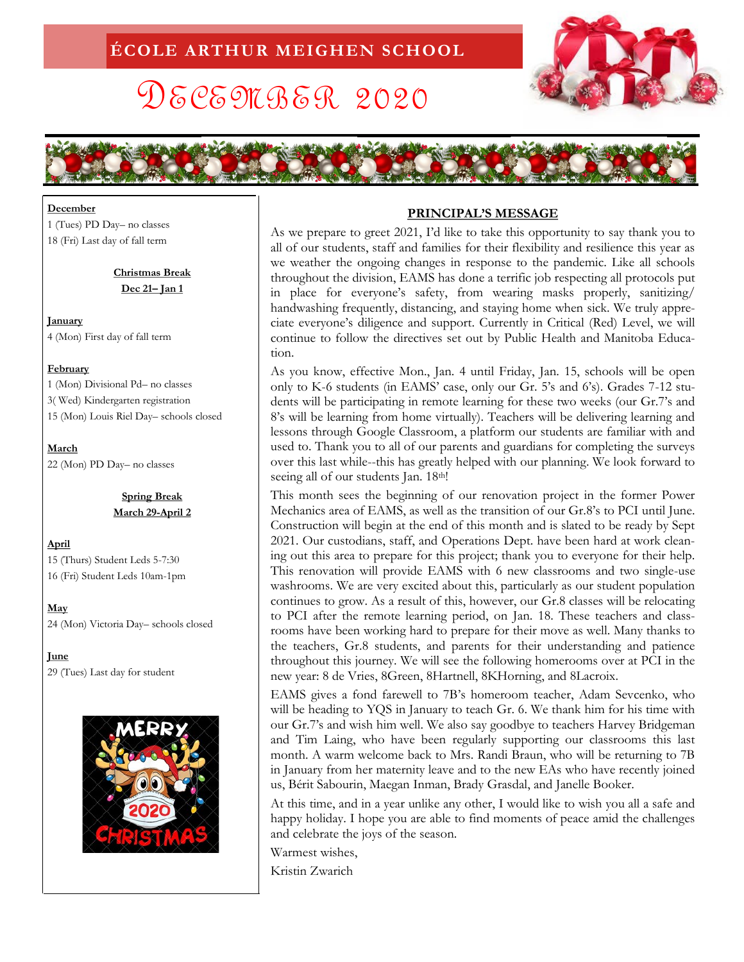# DECEMBER 2020





#### **December**

1 (Tues) PD Day– no classes 18 (Fri) Last day of fall term

> **Christmas Break Dec 21– Jan 1**

**January**  4 (Mon) First day of fall term

#### **February**

1 (Mon) Divisional Pd– no classes 3( Wed) Kindergarten registration 15 (Mon) Louis Riel Day– schools closed

**March**

22 (Mon) PD Day– no classes

**Spring Break March 29-April 2**

## **April**

15 (Thurs) Student Leds 5-7:30 16 (Fri) Student Leds 10am-1pm

**May** 24 (Mon) Victoria Day– schools closed

**June** 

29 (Tues) Last day for student



## **PRINCIPAL'S MESSAGE**

As we prepare to greet 2021, I'd like to take this opportunity to say thank you to all of our students, staff and families for their flexibility and resilience this year as we weather the ongoing changes in response to the pandemic. Like all schools throughout the division, EAMS has done a terrific job respecting all protocols put in place for everyone's safety, from wearing masks properly, sanitizing/ handwashing frequently, distancing, and staying home when sick. We truly appreciate everyone's diligence and support. Currently in Critical (Red) Level, we will continue to follow the directives set out by Public Health and Manitoba Education.

As you know, effective Mon., Jan. 4 until Friday, Jan. 15, schools will be open only to K-6 students (in EAMS' case, only our Gr. 5's and 6's). Grades 7-12 students will be participating in remote learning for these two weeks (our Gr.7's and 8's will be learning from home virtually). Teachers will be delivering learning and lessons through Google Classroom, a platform our students are familiar with and used to. Thank you to all of our parents and guardians for completing the surveys over this last while--this has greatly helped with our planning. We look forward to seeing all of our students Jan. 18th!

This month sees the beginning of our renovation project in the former Power Mechanics area of EAMS, as well as the transition of our Gr.8's to PCI until June. Construction will begin at the end of this month and is slated to be ready by Sept 2021. Our custodians, staff, and Operations Dept. have been hard at work cleaning out this area to prepare for this project; thank you to everyone for their help. This renovation will provide EAMS with 6 new classrooms and two single-use washrooms. We are very excited about this, particularly as our student population continues to grow. As a result of this, however, our Gr.8 classes will be relocating to PCI after the remote learning period, on Jan. 18. These teachers and classrooms have been working hard to prepare for their move as well. Many thanks to the teachers, Gr.8 students, and parents for their understanding and patience throughout this journey. We will see the following homerooms over at PCI in the new year: 8 de Vries, 8Green, 8Hartnell, 8KHorning, and 8Lacroix.

EAMS gives a fond farewell to 7B's homeroom teacher, Adam Sevcenko, who will be heading to YQS in January to teach Gr. 6. We thank him for his time with our Gr.7's and wish him well. We also say goodbye to teachers Harvey Bridgeman and Tim Laing, who have been regularly supporting our classrooms this last month. A warm welcome back to Mrs. Randi Braun, who will be returning to 7B in January from her maternity leave and to the new EAs who have recently joined us, Bérit Sabourin, Maegan Inman, Brady Grasdal, and Janelle Booker.

At this time, and in a year unlike any other, I would like to wish you all a safe and happy holiday. I hope you are able to find moments of peace amid the challenges and celebrate the joys of the season.

Warmest wishes,

Kristin Zwarich